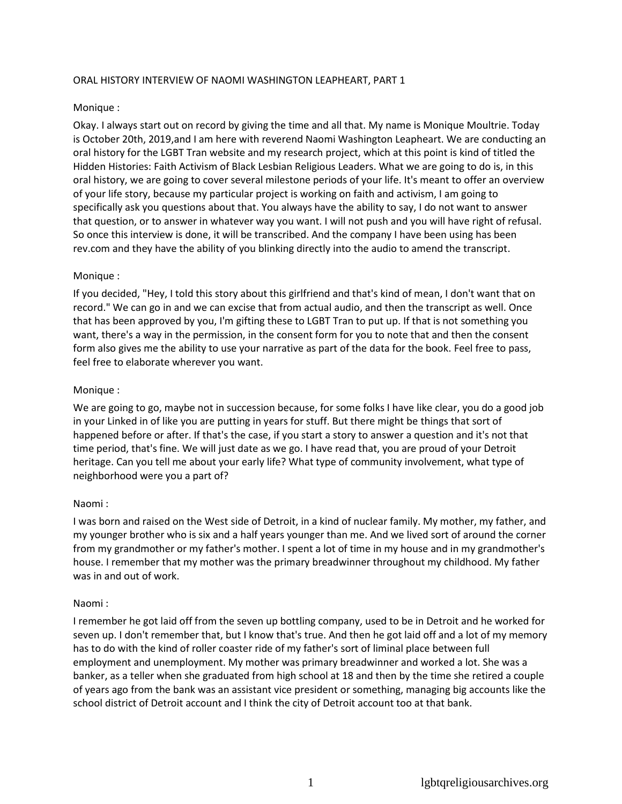### ORAL HISTORY INTERVIEW OF NAOMI WASHINGTON LEAPHEART, PART 1

#### Monique :

Okay. I always start out on record by giving the time and all that. My name is Monique Moultrie. Today is October 20th, 2019,and I am here with reverend Naomi Washington Leapheart. We are conducting an oral history for the LGBT Tran website and my research project, which at this point is kind of titled the Hidden Histories: Faith Activism of Black Lesbian Religious Leaders. What we are going to do is, in this oral history, we are going to cover several milestone periods of your life. It's meant to offer an overview of your life story, because my particular project is working on faith and activism, I am going to specifically ask you questions about that. You always have the ability to say, I do not want to answer that question, or to answer in whatever way you want. I will not push and you will have right of refusal. So once this interview is done, it will be transcribed. And the company I have been using has been rev.com and they have the ability of you blinking directly into the audio to amend the transcript.

### Monique :

If you decided, "Hey, I told this story about this girlfriend and that's kind of mean, I don't want that on record." We can go in and we can excise that from actual audio, and then the transcript as well. Once that has been approved by you, I'm gifting these to LGBT Tran to put up. If that is not something you want, there's a way in the permission, in the consent form for you to note that and then the consent form also gives me the ability to use your narrative as part of the data for the book. Feel free to pass, feel free to elaborate wherever you want.

#### Monique :

We are going to go, maybe not in succession because, for some folks I have like clear, you do a good job in your Linked in of like you are putting in years for stuff. But there might be things that sort of happened before or after. If that's the case, if you start a story to answer a question and it's not that time period, that's fine. We will just date as we go. I have read that, you are proud of your Detroit heritage. Can you tell me about your early life? What type of community involvement, what type of neighborhood were you a part of?

#### Naomi :

I was born and raised on the West side of Detroit, in a kind of nuclear family. My mother, my father, and my younger brother who is six and a half years younger than me. And we lived sort of around the corner from my grandmother or my father's mother. I spent a lot of time in my house and in my grandmother's house. I remember that my mother was the primary breadwinner throughout my childhood. My father was in and out of work.

#### Naomi :

I remember he got laid off from the seven up bottling company, used to be in Detroit and he worked for seven up. I don't remember that, but I know that's true. And then he got laid off and a lot of my memory has to do with the kind of roller coaster ride of my father's sort of liminal place between full employment and unemployment. My mother was primary breadwinner and worked a lot. She was a banker, as a teller when she graduated from high school at 18 and then by the time she retired a couple of years ago from the bank was an assistant vice president or something, managing big accounts like the school district of Detroit account and I think the city of Detroit account too at that bank.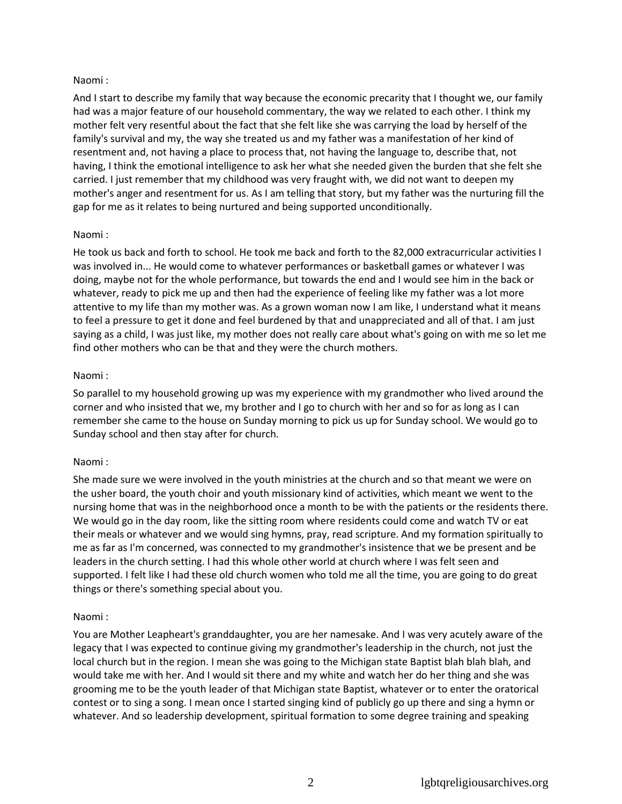## Naomi :

And I start to describe my family that way because the economic precarity that I thought we, our family had was a major feature of our household commentary, the way we related to each other. I think my mother felt very resentful about the fact that she felt like she was carrying the load by herself of the family's survival and my, the way she treated us and my father was a manifestation of her kind of resentment and, not having a place to process that, not having the language to, describe that, not having, I think the emotional intelligence to ask her what she needed given the burden that she felt she carried. I just remember that my childhood was very fraught with, we did not want to deepen my mother's anger and resentment for us. As I am telling that story, but my father was the nurturing fill the gap for me as it relates to being nurtured and being supported unconditionally.

## Naomi :

He took us back and forth to school. He took me back and forth to the 82,000 extracurricular activities I was involved in... He would come to whatever performances or basketball games or whatever I was doing, maybe not for the whole performance, but towards the end and I would see him in the back or whatever, ready to pick me up and then had the experience of feeling like my father was a lot more attentive to my life than my mother was. As a grown woman now I am like, I understand what it means to feel a pressure to get it done and feel burdened by that and unappreciated and all of that. I am just saying as a child, I was just like, my mother does not really care about what's going on with me so let me find other mothers who can be that and they were the church mothers.

## Naomi :

So parallel to my household growing up was my experience with my grandmother who lived around the corner and who insisted that we, my brother and I go to church with her and so for as long as I can remember she came to the house on Sunday morning to pick us up for Sunday school. We would go to Sunday school and then stay after for church.

### Naomi :

She made sure we were involved in the youth ministries at the church and so that meant we were on the usher board, the youth choir and youth missionary kind of activities, which meant we went to the nursing home that was in the neighborhood once a month to be with the patients or the residents there. We would go in the day room, like the sitting room where residents could come and watch TV or eat their meals or whatever and we would sing hymns, pray, read scripture. And my formation spiritually to me as far as I'm concerned, was connected to my grandmother's insistence that we be present and be leaders in the church setting. I had this whole other world at church where I was felt seen and supported. I felt like I had these old church women who told me all the time, you are going to do great things or there's something special about you.

# Naomi :

You are Mother Leapheart's granddaughter, you are her namesake. And I was very acutely aware of the legacy that I was expected to continue giving my grandmother's leadership in the church, not just the local church but in the region. I mean she was going to the Michigan state Baptist blah blah blah, and would take me with her. And I would sit there and my white and watch her do her thing and she was grooming me to be the youth leader of that Michigan state Baptist, whatever or to enter the oratorical contest or to sing a song. I mean once I started singing kind of publicly go up there and sing a hymn or whatever. And so leadership development, spiritual formation to some degree training and speaking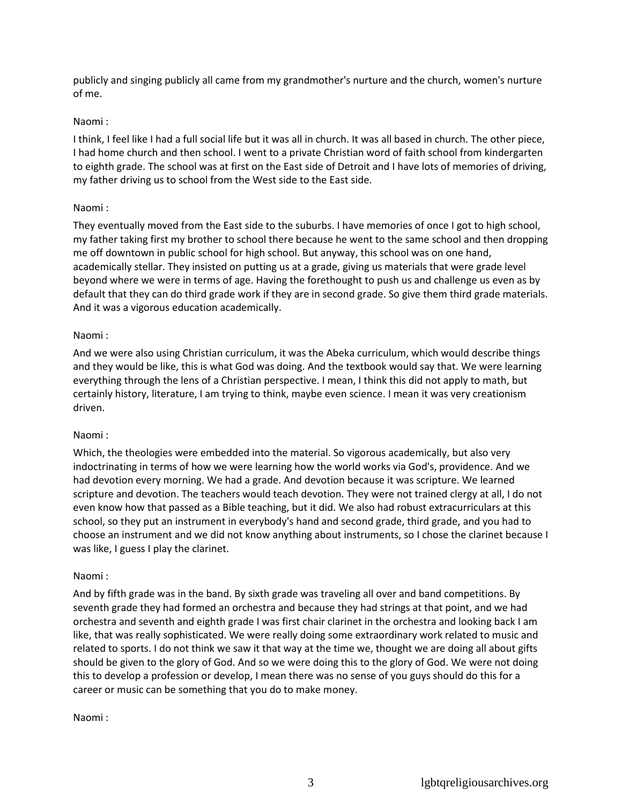publicly and singing publicly all came from my grandmother's nurture and the church, women's nurture of me.

## Naomi :

I think, I feel like I had a full social life but it was all in church. It was all based in church. The other piece, I had home church and then school. I went to a private Christian word of faith school from kindergarten to eighth grade. The school was at first on the East side of Detroit and I have lots of memories of driving, my father driving us to school from the West side to the East side.

## Naomi :

They eventually moved from the East side to the suburbs. I have memories of once I got to high school, my father taking first my brother to school there because he went to the same school and then dropping me off downtown in public school for high school. But anyway, this school was on one hand, academically stellar. They insisted on putting us at a grade, giving us materials that were grade level beyond where we were in terms of age. Having the forethought to push us and challenge us even as by default that they can do third grade work if they are in second grade. So give them third grade materials. And it was a vigorous education academically.

## Naomi :

And we were also using Christian curriculum, it was the Abeka curriculum, which would describe things and they would be like, this is what God was doing. And the textbook would say that. We were learning everything through the lens of a Christian perspective. I mean, I think this did not apply to math, but certainly history, literature, I am trying to think, maybe even science. I mean it was very creationism driven.

### Naomi :

Which, the theologies were embedded into the material. So vigorous academically, but also very indoctrinating in terms of how we were learning how the world works via God's, providence. And we had devotion every morning. We had a grade. And devotion because it was scripture. We learned scripture and devotion. The teachers would teach devotion. They were not trained clergy at all, I do not even know how that passed as a Bible teaching, but it did. We also had robust extracurriculars at this school, so they put an instrument in everybody's hand and second grade, third grade, and you had to choose an instrument and we did not know anything about instruments, so I chose the clarinet because I was like, I guess I play the clarinet.

### Naomi :

And by fifth grade was in the band. By sixth grade was traveling all over and band competitions. By seventh grade they had formed an orchestra and because they had strings at that point, and we had orchestra and seventh and eighth grade I was first chair clarinet in the orchestra and looking back I am like, that was really sophisticated. We were really doing some extraordinary work related to music and related to sports. I do not think we saw it that way at the time we, thought we are doing all about gifts should be given to the glory of God. And so we were doing this to the glory of God. We were not doing this to develop a profession or develop, I mean there was no sense of you guys should do this for a career or music can be something that you do to make money.

Naomi :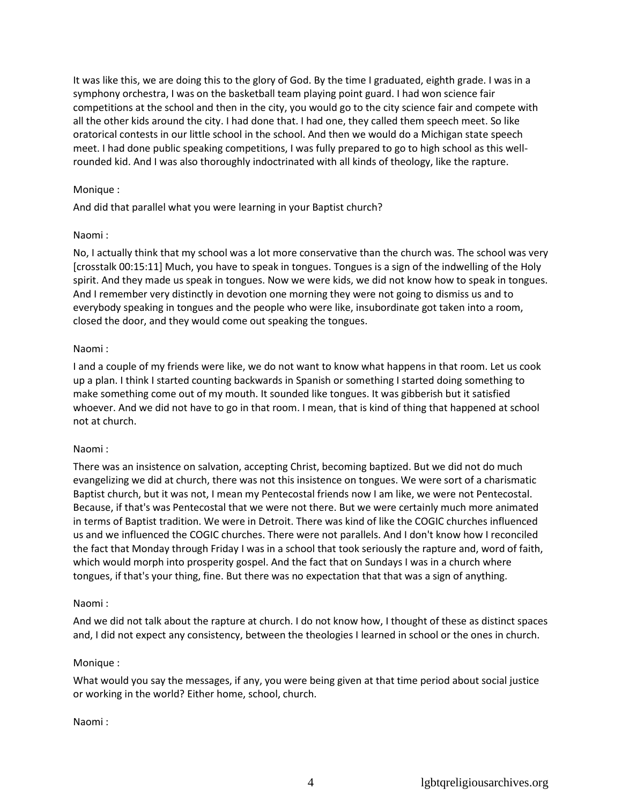It was like this, we are doing this to the glory of God. By the time I graduated, eighth grade. I was in a symphony orchestra, I was on the basketball team playing point guard. I had won science fair competitions at the school and then in the city, you would go to the city science fair and compete with all the other kids around the city. I had done that. I had one, they called them speech meet. So like oratorical contests in our little school in the school. And then we would do a Michigan state speech meet. I had done public speaking competitions, I was fully prepared to go to high school as this wellrounded kid. And I was also thoroughly indoctrinated with all kinds of theology, like the rapture.

### Monique :

And did that parallel what you were learning in your Baptist church?

## Naomi :

No, I actually think that my school was a lot more conservative than the church was. The school was very [crosstalk 00:15:11] Much, you have to speak in tongues. Tongues is a sign of the indwelling of the Holy spirit. And they made us speak in tongues. Now we were kids, we did not know how to speak in tongues. And I remember very distinctly in devotion one morning they were not going to dismiss us and to everybody speaking in tongues and the people who were like, insubordinate got taken into a room, closed the door, and they would come out speaking the tongues.

# Naomi :

I and a couple of my friends were like, we do not want to know what happens in that room. Let us cook up a plan. I think I started counting backwards in Spanish or something I started doing something to make something come out of my mouth. It sounded like tongues. It was gibberish but it satisfied whoever. And we did not have to go in that room. I mean, that is kind of thing that happened at school not at church.

# Naomi :

There was an insistence on salvation, accepting Christ, becoming baptized. But we did not do much evangelizing we did at church, there was not this insistence on tongues. We were sort of a charismatic Baptist church, but it was not, I mean my Pentecostal friends now I am like, we were not Pentecostal. Because, if that's was Pentecostal that we were not there. But we were certainly much more animated in terms of Baptist tradition. We were in Detroit. There was kind of like the COGIC churches influenced us and we influenced the COGIC churches. There were not parallels. And I don't know how I reconciled the fact that Monday through Friday I was in a school that took seriously the rapture and, word of faith, which would morph into prosperity gospel. And the fact that on Sundays I was in a church where tongues, if that's your thing, fine. But there was no expectation that that was a sign of anything.

### Naomi :

And we did not talk about the rapture at church. I do not know how, I thought of these as distinct spaces and, I did not expect any consistency, between the theologies I learned in school or the ones in church.

### Monique :

What would you say the messages, if any, you were being given at that time period about social justice or working in the world? Either home, school, church.

### Naomi :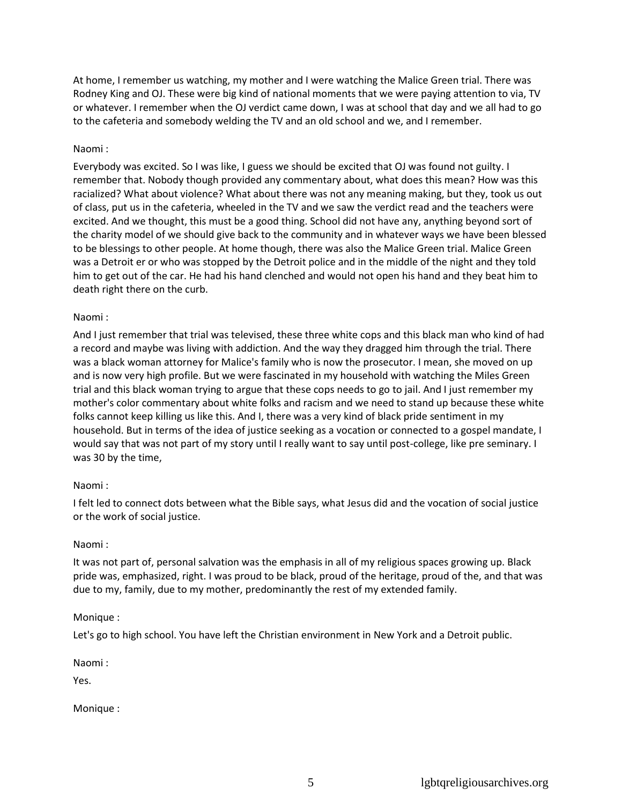At home, I remember us watching, my mother and I were watching the Malice Green trial. There was Rodney King and OJ. These were big kind of national moments that we were paying attention to via, TV or whatever. I remember when the OJ verdict came down, I was at school that day and we all had to go to the cafeteria and somebody welding the TV and an old school and we, and I remember.

## Naomi :

Everybody was excited. So I was like, I guess we should be excited that OJ was found not guilty. I remember that. Nobody though provided any commentary about, what does this mean? How was this racialized? What about violence? What about there was not any meaning making, but they, took us out of class, put us in the cafeteria, wheeled in the TV and we saw the verdict read and the teachers were excited. And we thought, this must be a good thing. School did not have any, anything beyond sort of the charity model of we should give back to the community and in whatever ways we have been blessed to be blessings to other people. At home though, there was also the Malice Green trial. Malice Green was a Detroit er or who was stopped by the Detroit police and in the middle of the night and they told him to get out of the car. He had his hand clenched and would not open his hand and they beat him to death right there on the curb.

### Naomi :

And I just remember that trial was televised, these three white cops and this black man who kind of had a record and maybe was living with addiction. And the way they dragged him through the trial. There was a black woman attorney for Malice's family who is now the prosecutor. I mean, she moved on up and is now very high profile. But we were fascinated in my household with watching the Miles Green trial and this black woman trying to argue that these cops needs to go to jail. And I just remember my mother's color commentary about white folks and racism and we need to stand up because these white folks cannot keep killing us like this. And I, there was a very kind of black pride sentiment in my household. But in terms of the idea of justice seeking as a vocation or connected to a gospel mandate, I would say that was not part of my story until I really want to say until post-college, like pre seminary. I was 30 by the time,

# Naomi :

I felt led to connect dots between what the Bible says, what Jesus did and the vocation of social justice or the work of social justice.

### Naomi :

It was not part of, personal salvation was the emphasis in all of my religious spaces growing up. Black pride was, emphasized, right. I was proud to be black, proud of the heritage, proud of the, and that was due to my, family, due to my mother, predominantly the rest of my extended family.

### Monique :

Let's go to high school. You have left the Christian environment in New York and a Detroit public.

Naomi :

Yes.

Monique :